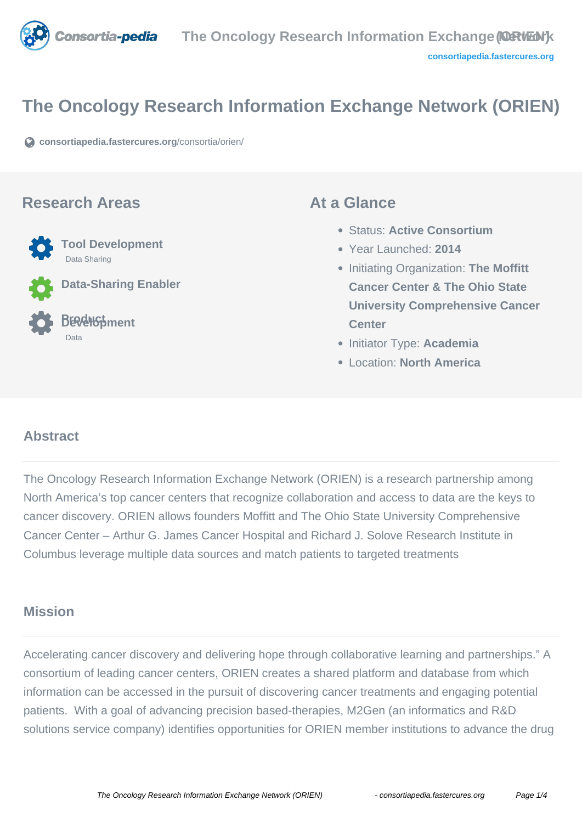

# **The Oncology Research Information Exchange Network (ORIEN)**

**[consortiapedia.fastercures.org](https://consortiapedia.fastercures.org/consortia/orien/)**[/consortia/orien/](https://consortiapedia.fastercures.org/consortia/orien/)

### **Research Areas**



Data Sharing

**Data-Sharing Enabler**

**Tool Development**

#### **Product Development** Data

### **At a Glance**

- Status: **Active Consortium**
- Year Launched: **2014**
- **Initiating Organization: The Moffitt Cancer Center & The Ohio State University Comprehensive Cancer Center**
- **Initiator Type: Academia**
- Location: **North America**

#### $\overline{a}$ **Abstract**

The Oncology Research Information Exchange Network (ORIEN) is a research partnership among North America's top cancer centers that recognize collaboration and access to data are the keys to cancer discovery. ORIEN allows founders Moffitt and The Ohio State University Comprehensive Cancer Center – Arthur G. James Cancer Hospital and Richard J. Solove Research Institute in Columbus leverage multiple data sources and match patients to targeted treatments

# **Mission**

Accelerating cancer discovery and delivering hope through collaborative learning and partnerships." A consortium of leading cancer centers, ORIEN creates a shared platform and database from which information can be accessed in the pursuit of discovering cancer treatments and engaging potential patients. With a goal of advancing precision based-therapies, M2Gen (an informatics and R&D solutions service company) identifies opportunities for ORIEN member institutions to advance the drug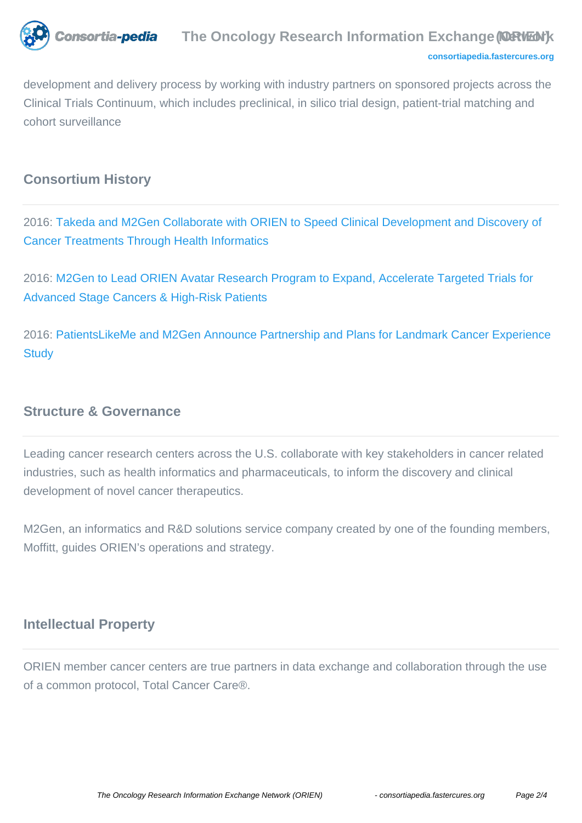

development and delivery process by working with industry partners on sponsored projects across the Clinical Trials Continuum, which includes preclinical, in silico trial design, patient-trial matching and cohort surveillance

# **Consortium History**

2016: [Takeda and M2Gen Collaborate with ORIEN to Speed Clinical Development and Discovery of](https://www.takeda.com/newsroom/newsreleases/2016/takeda-and-m2gen-collaborate-with-orien-to-speed-clinical-development-and-discovery-of-cancer-treatments-through-health-informatics/) [Cancer Treatments Through Health Informatics](https://www.takeda.com/newsroom/newsreleases/2016/takeda-and-m2gen-collaborate-with-orien-to-speed-clinical-development-and-discovery-of-cancer-treatments-through-health-informatics/)

2016: [M2Gen to Lead ORIEN Avatar Research Program to Expand, Accelerate Targeted Trials for](http://m2gen.com/news.html) [Advanced Stage Cancers & High-Risk Patients](http://m2gen.com/news.html)

2016: [PatientsLikeMe and M2Gen Announce Partnership and Plans for Landmark Cancer Experience](http://news.patientslikeme.com/press-release/patientslikeme-and-m2gen-announce-partnership-and-plans-landmark-cancer-experience-stu) **[Study](http://news.patientslikeme.com/press-release/patientslikeme-and-m2gen-announce-partnership-and-plans-landmark-cancer-experience-stu)** 

## **Structure & Governance**

Leading cancer research centers across the U.S. collaborate with key stakeholders in cancer related industries, such as health informatics and pharmaceuticals, to inform the discovery and clinical development of novel cancer therapeutics.

M2Gen, an informatics and R&D solutions service company created by one of the founding members, Moffitt, guides ORIEN's operations and strategy.

# **Intellectual Property**

ORIEN member cancer centers are true partners in data exchange and collaboration through the use of a common protocol, Total Cancer Care®.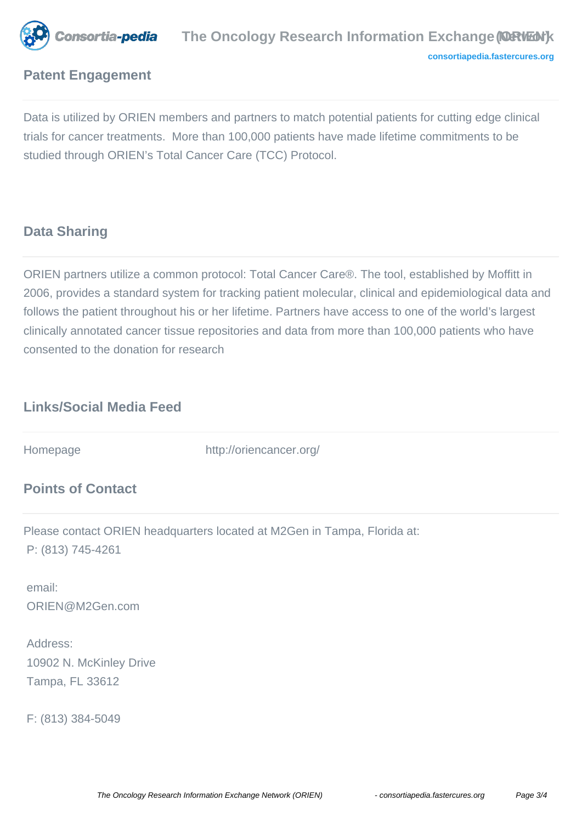

# **Patent Engagement**

Data is utilized by ORIEN members and partners to match potential patients for cutting edge clinical trials for cancer treatments. More than 100,000 patients have made lifetime commitments to be studied through ORIEN's Total Cancer Care (TCC) Protocol.

## **Data Sharing**

ORIEN partners utilize a common protocol: Total Cancer Care®. The tool, established by Moffitt in 2006, provides a standard system for tracking patient molecular, clinical and epidemiological data and follows the patient throughout his or her lifetime. Partners have access to one of the world's largest clinically annotated cancer tissue repositories and data from more than 100,000 patients who have consented to the donation for research

# **Links/Social Media Feed**

Homepage http://oriencancer.org/

# **Points of Contact**

Please contact ORIEN headquarters located at M2Gen in Tampa, Florida at: P: (813) 745-4261

 email: ORIEN@M2Gen.com

 Address: 10902 N. McKinley Drive Tampa, FL 33612

F: (813) 384-5049